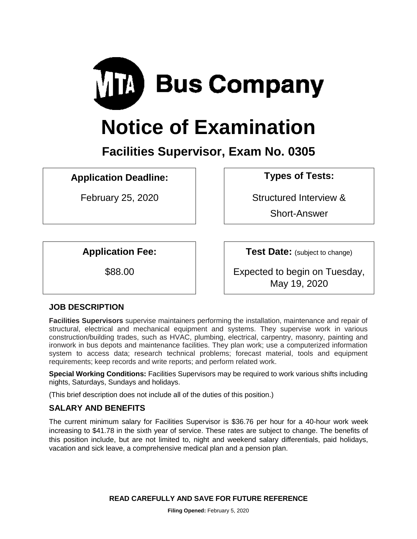

# **Notice of Examination**

**Facilities Supervisor, Exam No. 0305**

**Application Deadline: Types of Tests:** 

February 25, 2020 **February 25, 2020 Structured Interview &** 

Short-Answer

**Application Fee: Test Date:** (subject to change)

\$88.00 **Figure 1** Expected to begin on Tuesday, May 19, 2020

# **JOB DESCRIPTION**

**Facilities Supervisors** supervise maintainers performing the installation, maintenance and repair of structural, electrical and mechanical equipment and systems. They supervise work in various construction/building trades, such as HVAC, plumbing, electrical, carpentry, masonry, painting and ironwork in bus depots and maintenance facilities. They plan work; use a computerized information system to access data; research technical problems; forecast material, tools and equipment requirements; keep records and write reports; and perform related work.

**Special Working Conditions:** Facilities Supervisors may be required to work various shifts including nights, Saturdays, Sundays and holidays.

(This brief description does not include all of the duties of this position.)

# **SALARY AND BENEFITS**

The current minimum salary for Facilities Supervisor is \$36.76 per hour for a 40-hour work week increasing to \$41.78 in the sixth year of service. These rates are subject to change. The benefits of this position include, but are not limited to, night and weekend salary differentials, paid holidays, vacation and sick leave, a comprehensive medical plan and a pension plan.

**READ CAREFULLY AND SAVE FOR FUTURE REFERENCE**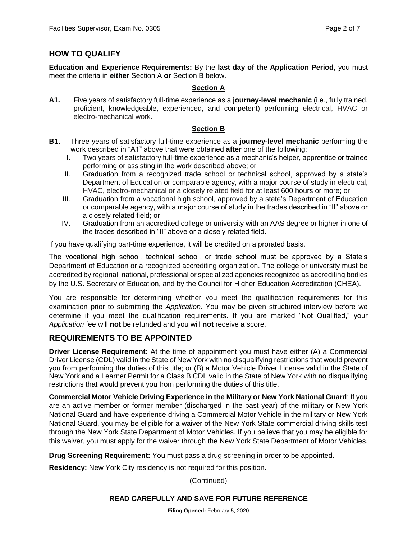## **HOW TO QUALIFY**

**Education and Experience Requirements:** By the **last day of the Application Period,** you must meet the criteria in **either** Section A **or** Section B below.

#### **Section A**

**A1.** Five years of satisfactory full-time experience as a **journey-level mechanic** (i.e., fully trained, proficient, knowledgeable, experienced, and competent) performing electrical, HVAC or electro-mechanical work.

#### **Section B**

- **B1.** Three years of satisfactory full-time experience as a **journey-level mechanic** performing the work described in "A1" above that were obtained **after** one of the following:
	- I. Two years of satisfactory full-time experience as a mechanic's helper, apprentice or trainee performing or assisting in the work described above; or
	- II. Graduation from a recognized trade school or technical school, approved by a state's Department of Education or comparable agency, with a major course of study in electrical, HVAC, electro-mechanical or a closely related field for at least 600 hours or more; or
	- III. Graduation from a vocational high school, approved by a state's Department of Education or comparable agency, with a major course of study in the trades described in "II" above or a closely related field; or
	- IV. Graduation from an accredited college or university with an AAS degree or higher in one of the trades described in "II" above or a closely related field.

If you have qualifying part-time experience, it will be credited on a prorated basis.

The vocational high school, technical school, or trade school must be approved by a State's Department of Education or a recognized accrediting organization. The college or university must be accredited by regional, national, professional or specialized agencies recognized as accrediting bodies by the U.S. Secretary of Education, and by the Council for Higher Education Accreditation (CHEA).

You are responsible for determining whether you meet the qualification requirements for this examination prior to submitting the *Application*. You may be given structured interview before we determine if you meet the qualification requirements. If you are marked "Not Qualified," your *Application* fee will **not** be refunded and you will **not** receive a score.

## **REQUIREMENTS TO BE APPOINTED**

**Driver License Requirement:** At the time of appointment you must have either (A) a Commercial Driver License (CDL) valid in the State of New York with no disqualifying restrictions that would prevent you from performing the duties of this title; or (B) a Motor Vehicle Driver License valid in the State of New York and a Learner Permit for a Class B CDL valid in the State of New York with no disqualifying restrictions that would prevent you from performing the duties of this title.

**Commercial Motor Vehicle Driving Experience in the Military or New York National Guard**: If you are an active member or former member (discharged in the past year) of the military or New York National Guard and have experience driving a Commercial Motor Vehicle in the military or New York National Guard, you may be eligible for a waiver of the New York State commercial driving skills test through the New York State Department of Motor Vehicles. If you believe that you may be eligible for this waiver, you must apply for the waiver through the New York State Department of Motor Vehicles.

**Drug Screening Requirement:** You must pass a drug screening in order to be appointed.

**Residency:** New York City residency is not required for this position.

(Continued)

#### **READ CAREFULLY AND SAVE FOR FUTURE REFERENCE**

**Filing Opened:** February 5, 2020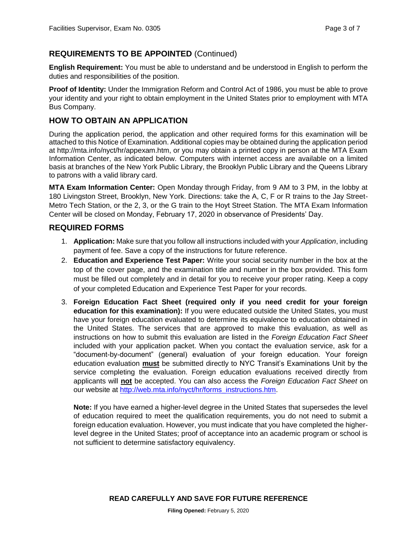## **REQUIREMENTS TO BE APPOINTED** (Continued)

**English Requirement:** You must be able to understand and be understood in English to perform the duties and responsibilities of the position.

**Proof of Identity:** Under the Immigration Reform and Control Act of 1986, you must be able to prove your identity and your right to obtain employment in the United States prior to employment with MTA Bus Company.

## **HOW TO OBTAIN AN APPLICATION**

During the application period, the application and other required forms for this examination will be attached to this Notice of Examination. Additional copies may be obtained during the application period at http://mta.info/nyct/hr/appexam.htm, or you may obtain a printed copy in person at the MTA Exam Information Center, as indicated below. Computers with internet access are available on a limited basis at branches of the New York Public Library, the Brooklyn Public Library and the Queens Library to patrons with a valid library card.

**MTA Exam Information Center:** Open Monday through Friday, from 9 AM to 3 PM, in the lobby at 180 Livingston Street, Brooklyn, New York. Directions: take the A, C, F or R trains to the Jay Street-Metro Tech Station, or the 2, 3, or the G train to the Hoyt Street Station. The MTA Exam Information Center will be closed on Monday, February 17, 2020 in observance of Presidents' Day.

#### **REQUIRED FORMS**

- 1. **Application:** Make sure that you follow all instructions included with your *Application*, including payment of fee. Save a copy of the instructions for future reference.
- 2. **Education and Experience Test Paper:** Write your social security number in the box at the top of the cover page, and the examination title and number in the box provided. This form must be filled out completely and in detail for you to receive your proper rating. Keep a copy of your completed Education and Experience Test Paper for your records.
- 3. **Foreign Education Fact Sheet (required only if you need credit for your foreign education for this examination):** If you were educated outside the United States, you must have your foreign education evaluated to determine its equivalence to education obtained in the United States. The services that are approved to make this evaluation, as well as instructions on how to submit this evaluation are listed in the *Foreign Education Fact Sheet* included with your application packet. When you contact the evaluation service, ask for a "document-by-document" (general) evaluation of your foreign education. Your foreign education evaluation **must** be submitted directly to NYC Transit's Examinations Unit by the service completing the evaluation. Foreign education evaluations received directly from applicants will **not** be accepted. You can also access the *Foreign Education Fact Sheet* on our website at [http://web.mta.info/nyct/hr/forms\\_instructions.htm.](http://web.mta.info/nyct/hr/forms_instructions.htm)

**Note:** If you have earned a higher-level degree in the United States that supersedes the level of education required to meet the qualification requirements, you do not need to submit a foreign education evaluation. However, you must indicate that you have completed the higherlevel degree in the United States; proof of acceptance into an academic program or school is not sufficient to determine satisfactory equivalency.

**READ CAREFULLY AND SAVE FOR FUTURE REFERENCE**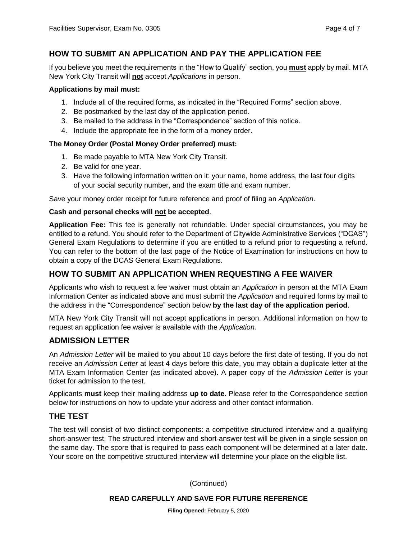# **HOW TO SUBMIT AN APPLICATION AND PAY THE APPLICATION FEE**

If you believe you meet the requirements in the "How to Qualify" section, you **must** apply by mail. MTA New York City Transit will **not** accept *Applications* in person.

#### **Applications by mail must:**

- 1. Include all of the required forms, as indicated in the "Required Forms" section above.
- 2. Be postmarked by the last day of the application period.
- 3. Be mailed to the address in the "Correspondence" section of this notice.
- 4. Include the appropriate fee in the form of a money order.

#### **The Money Order (Postal Money Order preferred) must:**

- 1. Be made payable to MTA New York City Transit.
- 2. Be valid for one year.
- 3. Have the following information written on it: your name, home address, the last four digits of your social security number, and the exam title and exam number.

Save your money order receipt for future reference and proof of filing an *Application*.

#### **Cash and personal checks will not be accepted**.

**Application Fee:** This fee is generally not refundable. Under special circumstances, you may be entitled to a refund. You should refer to the Department of Citywide Administrative Services ("DCAS") General Exam Regulations to determine if you are entitled to a refund prior to requesting a refund. You can refer to the bottom of the last page of the Notice of Examination for instructions on how to obtain a copy of the DCAS General Exam Regulations.

## **HOW TO SUBMIT AN APPLICATION WHEN REQUESTING A FEE WAIVER**

Applicants who wish to request a fee waiver must obtain an *Application* in person at the MTA Exam Information Center as indicated above and must submit the *Application* and required forms by mail to the address in the "Correspondence" section below **by the last day of the application period**.

MTA New York City Transit will not accept applications in person. Additional information on how to request an application fee waiver is available with the *Application.*

## **ADMISSION LETTER**

An *Admission Letter* will be mailed to you about 10 days before the first date of testing. If you do not receive an *Admission Letter* at least 4 days before this date, you may obtain a duplicate letter at the MTA Exam Information Center (as indicated above). A paper copy of the *Admission Letter* is your ticket for admission to the test.

Applicants **must** keep their mailing address **up to date**. Please refer to the Correspondence section below for instructions on how to update your address and other contact information.

## **THE TEST**

The test will consist of two distinct components: a competitive structured interview and a qualifying short-answer test. The structured interview and short-answer test will be given in a single session on the same day. The score that is required to pass each component will be determined at a later date. Your score on the competitive structured interview will determine your place on the eligible list.

(Continued)

#### **READ CAREFULLY AND SAVE FOR FUTURE REFERENCE**

**Filing Opened:** February 5, 2020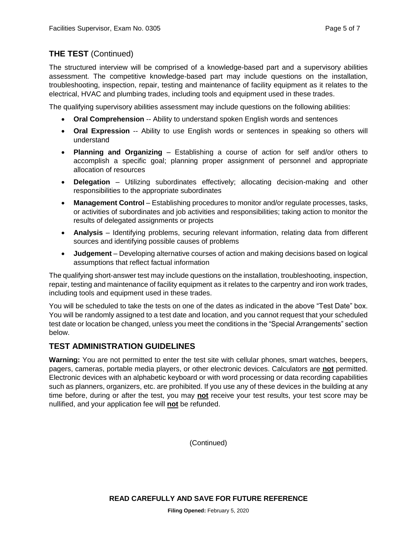# **THE TEST** (Continued)

The structured interview will be comprised of a knowledge-based part and a supervisory abilities assessment. The competitive knowledge-based part may include questions on the installation, troubleshooting, inspection, repair, testing and maintenance of facility equipment as it relates to the electrical, HVAC and plumbing trades, including tools and equipment used in these trades.

The qualifying supervisory abilities assessment may include questions on the following abilities:

- **Oral Comprehension** -- Ability to understand spoken English words and sentences
- **Oral Expression** -- Ability to use English words or sentences in speaking so others will understand
- **Planning and Organizing** Establishing a course of action for self and/or others to accomplish a specific goal; planning proper assignment of personnel and appropriate allocation of resources
- **Delegation** Utilizing subordinates effectively; allocating decision-making and other responsibilities to the appropriate subordinates
- **Management Control** Establishing procedures to monitor and/or regulate processes, tasks, or activities of subordinates and job activities and responsibilities; taking action to monitor the results of delegated assignments or projects
- **Analysis** Identifying problems, securing relevant information, relating data from different sources and identifying possible causes of problems
- **Judgement** Developing alternative courses of action and making decisions based on logical assumptions that reflect factual information

The qualifying short-answer test may include questions on the installation, troubleshooting, inspection, repair, testing and maintenance of facility equipment as it relates to the carpentry and iron work trades, including tools and equipment used in these trades.

You will be scheduled to take the tests on one of the dates as indicated in the above "Test Date" box. You will be randomly assigned to a test date and location, and you cannot request that your scheduled test date or location be changed, unless you meet the conditions in the "Special Arrangements" section below.

# **TEST ADMINISTRATION GUIDELINES**

**Warning:** You are not permitted to enter the test site with cellular phones, smart watches, beepers, pagers, cameras, portable media players, or other electronic devices. Calculators are **not** permitted. Electronic devices with an alphabetic keyboard or with word processing or data recording capabilities such as planners, organizers, etc. are prohibited. If you use any of these devices in the building at any time before, during or after the test, you may **not** receive your test results, your test score may be nullified, and your application fee will **not** be refunded.

(Continued)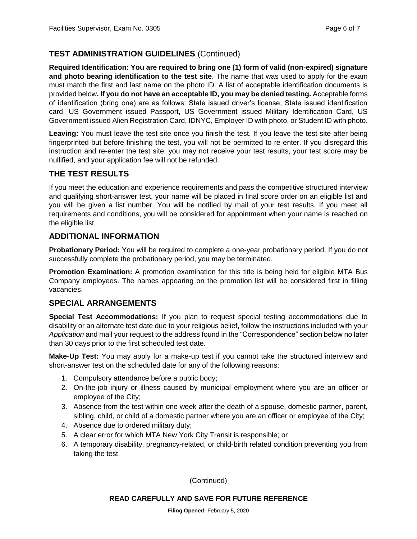# **TEST ADMINISTRATION GUIDELINES** (Continued)

**Required Identification: You are required to bring one (1) form of valid (non-expired) signature and photo bearing identification to the test site**. The name that was used to apply for the exam must match the first and last name on the photo ID. A list of acceptable identification documents is provided below**. If you do not have an acceptable ID, you may be denied testing.** Acceptable forms of identification (bring one) are as follows: State issued driver's license, State issued identification card, US Government issued Passport, US Government issued Military Identification Card, US Government issued Alien Registration Card, IDNYC, Employer ID with photo, or Student ID with photo.

**Leaving:** You must leave the test site once you finish the test. If you leave the test site after being fingerprinted but before finishing the test, you will not be permitted to re-enter. If you disregard this instruction and re-enter the test site, you may not receive your test results, your test score may be nullified, and your application fee will not be refunded.

## **THE TEST RESULTS**

If you meet the education and experience requirements and pass the competitive structured interview and qualifying short-answer test, your name will be placed in final score order on an eligible list and you will be given a list number. You will be notified by mail of your test results. If you meet all requirements and conditions, you will be considered for appointment when your name is reached on the eligible list.

## **ADDITIONAL INFORMATION**

**Probationary Period:** You will be required to complete a one-year probationary period. If you do not successfully complete the probationary period, you may be terminated.

**Promotion Examination:** A promotion examination for this title is being held for eligible MTA Bus Company employees. The names appearing on the promotion list will be considered first in filling vacancies.

## **SPECIAL ARRANGEMENTS**

**Special Test Accommodations:** If you plan to request special testing accommodations due to disability or an alternate test date due to your religious belief, follow the instructions included with your *Application* and mail your request to the address found in the "Correspondence" section below no later than 30 days prior to the first scheduled test date.

**Make-Up Test:** You may apply for a make-up test if you cannot take the structured interview and short-answer test on the scheduled date for any of the following reasons:

- 1. Compulsory attendance before a public body;
- 2. On-the-job injury or illness caused by municipal employment where you are an officer or employee of the City;
- 3. Absence from the test within one week after the death of a spouse, domestic partner, parent, sibling, child, or child of a domestic partner where you are an officer or employee of the City;
- 4. Absence due to ordered military duty;
- 5. A clear error for which MTA New York City Transit is responsible; or
- 6. A temporary disability, pregnancy-related, or child-birth related condition preventing you from taking the test.

(Continued)

#### **READ CAREFULLY AND SAVE FOR FUTURE REFERENCE**

**Filing Opened:** February 5, 2020